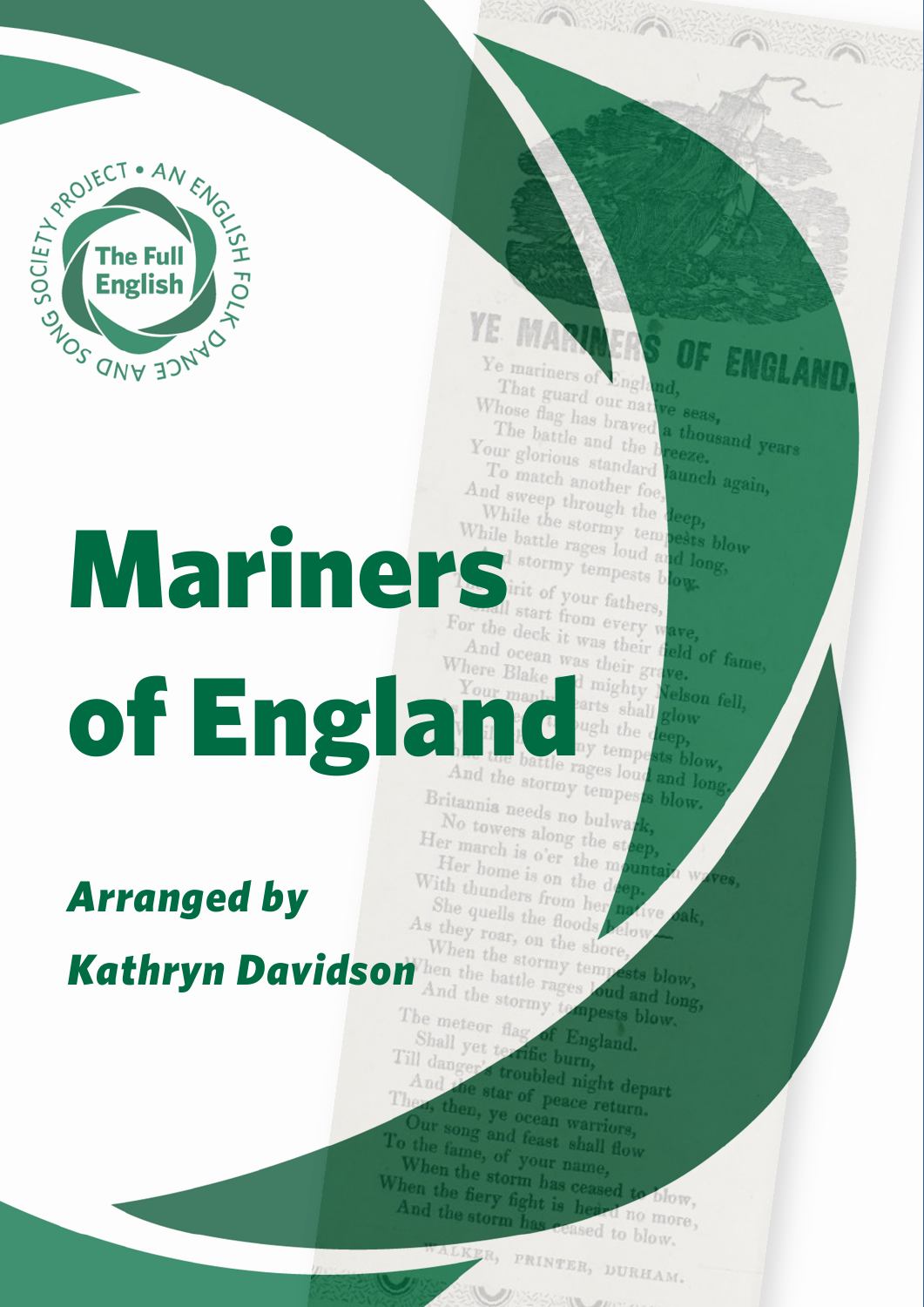

# and ocean was their and an internation of your fathers,

# *Arranged by*

Ye mariners of Engl That guard our nat. Whose flag has braved a thousand years<br>The battle and the breeze. Your glorious standard<br>To match another To match another foe, And sweep through the While the stormy tempests blow While battle rages loud an d stormy tempests b

YE.

**COMPANY** 

# OF ENG

reeze. aunch again,

 $d$   $long,$  $0W$ 

ave.  $\frac{eld}{}$  of  $f$ ame, elson fell,

arts shall glow ugh the  $ts$ <sub>blow</sub> and long

And the battle rages louders at the storm of temperature of the state of the state of the model of the model of the model of the model of the model of the model of the model of the model of the model of the model of the mo blow.

d mighty

With thunders from the compared in the compared of the compared of the compared of the compared of the compared of the comparison of the comparison of the comparison of the comparison of the comparison of the comparison of She quells the floods As they roar, on the shore,  $e_{i}$ 

When the stormy tempests blow, Then the stormy tempests blow,<br>And the stormy tempests blow, **Kathryn Davidson** hen the battle rages loud a<br>The meteor flag of England.<br>Till danger teached with And the stormy to apests blow.

Till danger's troubled night depart And the star of peace return. The s then, ye ocean warriors, Our song and feast shall flow<br>the fame, of your name. To the fame, of your name, When the storm has ceased When the fiery fight is he<br>And the storm has cea blow. And the storm has <sup>1</sup> no more,

eased to blow.

 $\label{eq:inert} \begin{aligned} &\mathit{PRINTER}, &\mathit{DURHAM}, \end{aligned}$ 

VALLE MARIN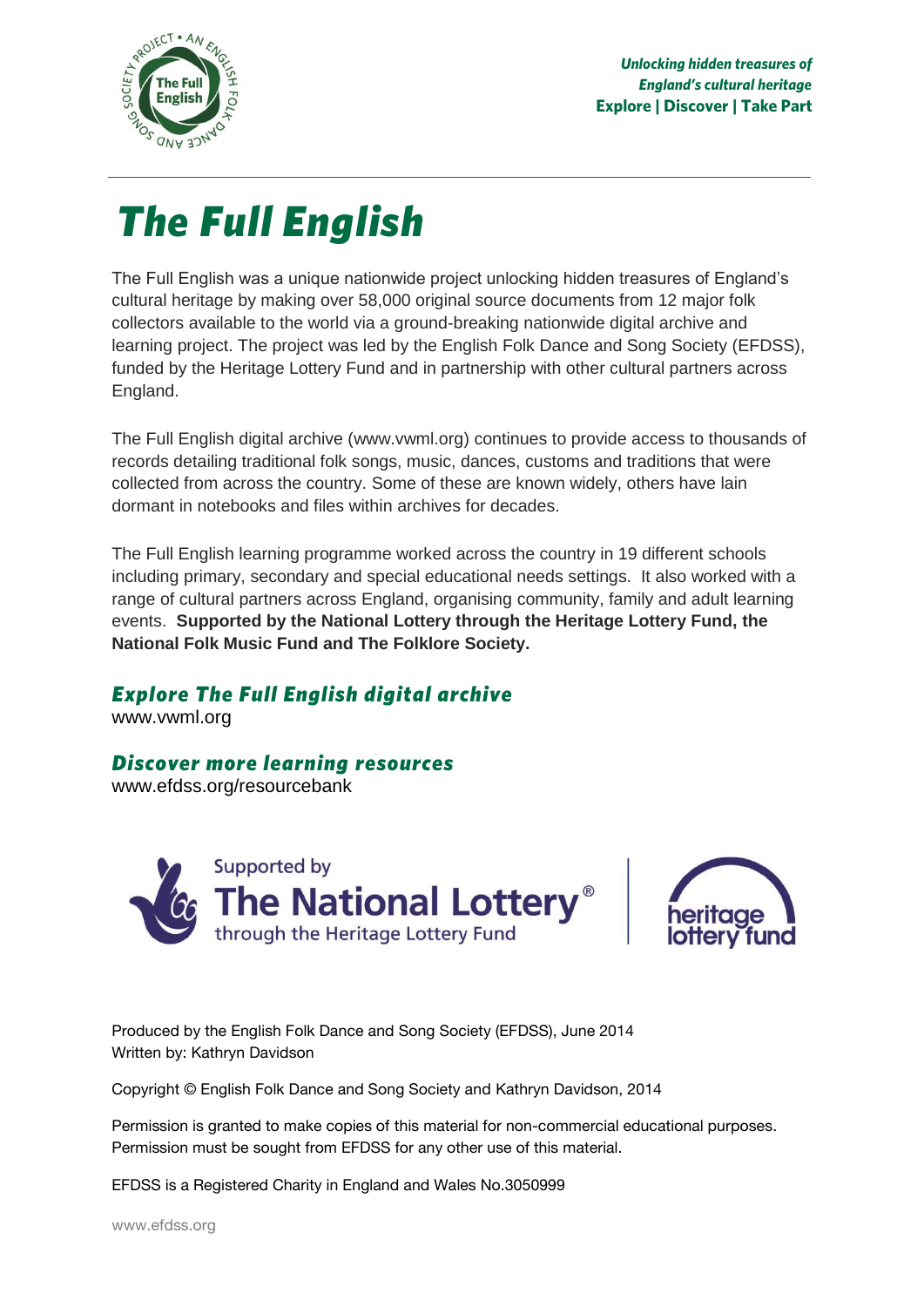

*The Full English* The Full English was a unique nationwide project unlocking hidden treasures of England's cultural heritage by making over 58,000 original source documents from 12 major folk collectors available to the world via a ground-breaking nationwide digital archive and learning project. The project was led by the English Folk Dance and Song Society (EFDSS), funded by the Heritage Lottery Fund and in partnership with other cultural partners across England.

The Full English digital archive (www.vwml.org) continues to provide access to thousands of records detailing traditional folk songs, music, dances, customs and traditions that were collected from across the country. Some of these are known widely, others have lain dormant in notebooks and files within archives for decades.

The Full English learning programme worked across the country in 19 different schools including primary, secondary and special educational needs settings. It also worked with a range of cultural partners across England, organising community, family and adult learning events. **Supported by the National Lottery through the Heritage Lottery Fund, the National Folk Music Fund and The Folklore Society.**

*Explore The Full English digital archive* www.vwml.org

*Discover more learning resources* www.efdss.org/resourcebank





Produced by the English Folk Dance and Song Society (EFDSS), June 2014 Written by: Kathryn Davidson

Copyright © English Folk Dance and Song Society and Kathryn Davidson, 2014

Permission is granted to make copies of this material for non-commercial educational purposes. Permission must be sought from EFDSS for any other use of this material.

EFDSS is a Registered Charity in England and Wales No.3050999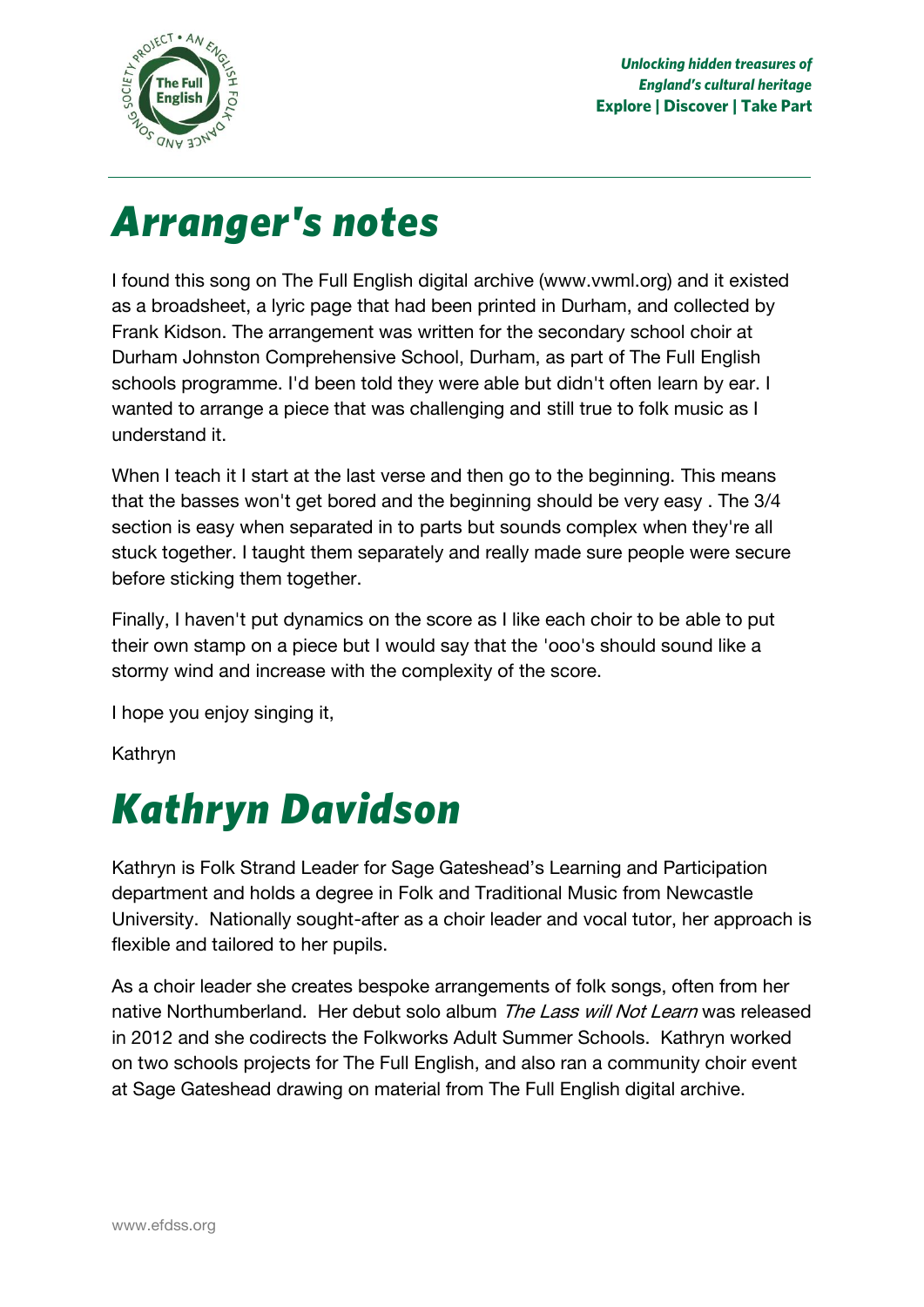

## *Arranger's notes*

I found this song on The Full English digital archive (www.vwml.org) and it existed as a broadsheet, a lyric page that had been printed in Durham, and collected by Frank Kidson. The arrangement was written for the secondary school choir at Durham Johnston Comprehensive School, Durham, as part of The Full English schools programme. I'd been told they were able but didn't often learn by ear. I wanted to arrange a piece that was challenging and still true to folk music as I understand it.

When I teach it I start at the last verse and then go to the beginning. This means that the basses won't get bored and the beginning should be very easy . The 3/4 section is easy when separated in to parts but sounds complex when they're all stuck together. I taught them separately and really made sure people were secure before sticking them together.

Finally, I haven't put dynamics on the score as I like each choir to be able to put their own stamp on a piece but I would say that the 'ooo's should sound like a stormy wind and increase with the complexity of the score.

I hope you enjoy singing it,

Kathryn

**Kathryn is Folk Strand Leader for Sage Gateshead's Learning and Participation** department and holds a degree in Folk and Traditional Music from Newcastle University. Nationally sought-after as a choir leader and vocal tutor, her approach is flexible and tailored to her pupils.

As a choir leader she creates bespoke arrangements of folk songs, often from her native Northumberland. Her debut solo album The Lass will Not Learn was released in 2012 and she codirects the Folkworks Adult Summer Schools. Kathryn worked on two schools projects for The Full English, and also ran a community choir event at Sage Gateshead drawing on material from The Full English digital archive.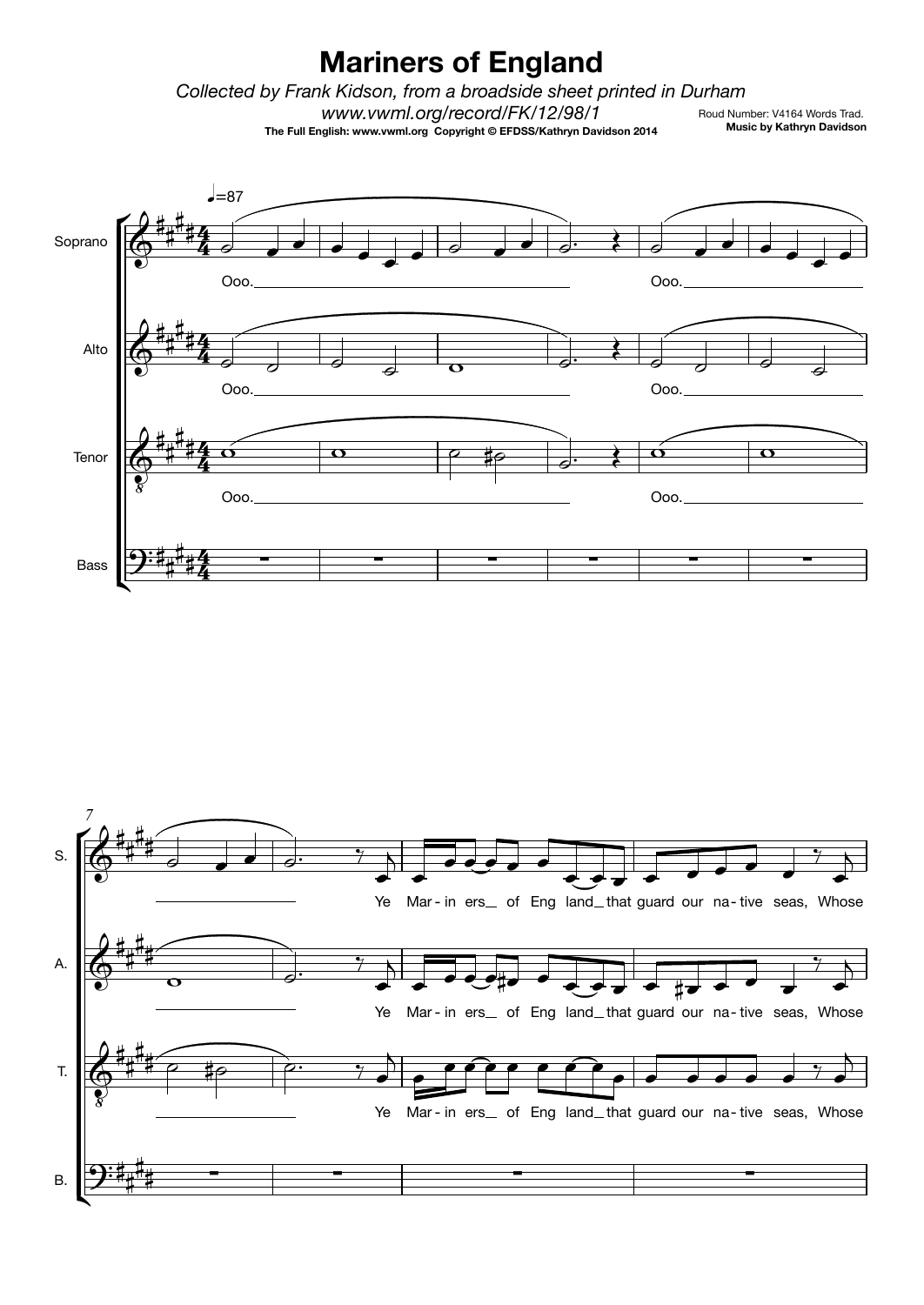### **Mariners of England**

*Collected by Frank Kidson, from a broadside sheet printed in Durham*

*www.vwml.org/record/FK/12/98/1*

**The Full English: www.vwml.org Copyright © EFDSS/Kathryn Davidson 2014**





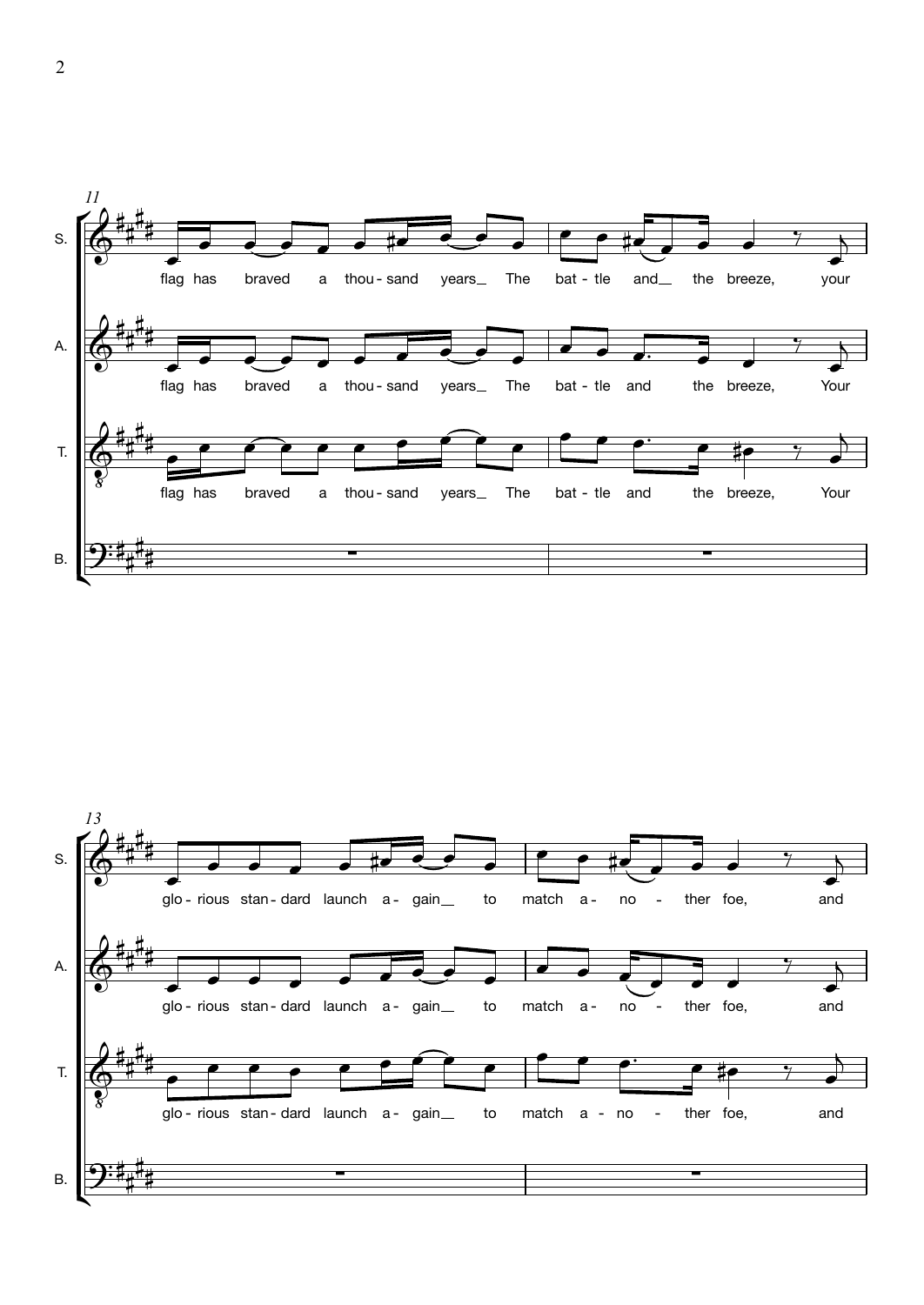

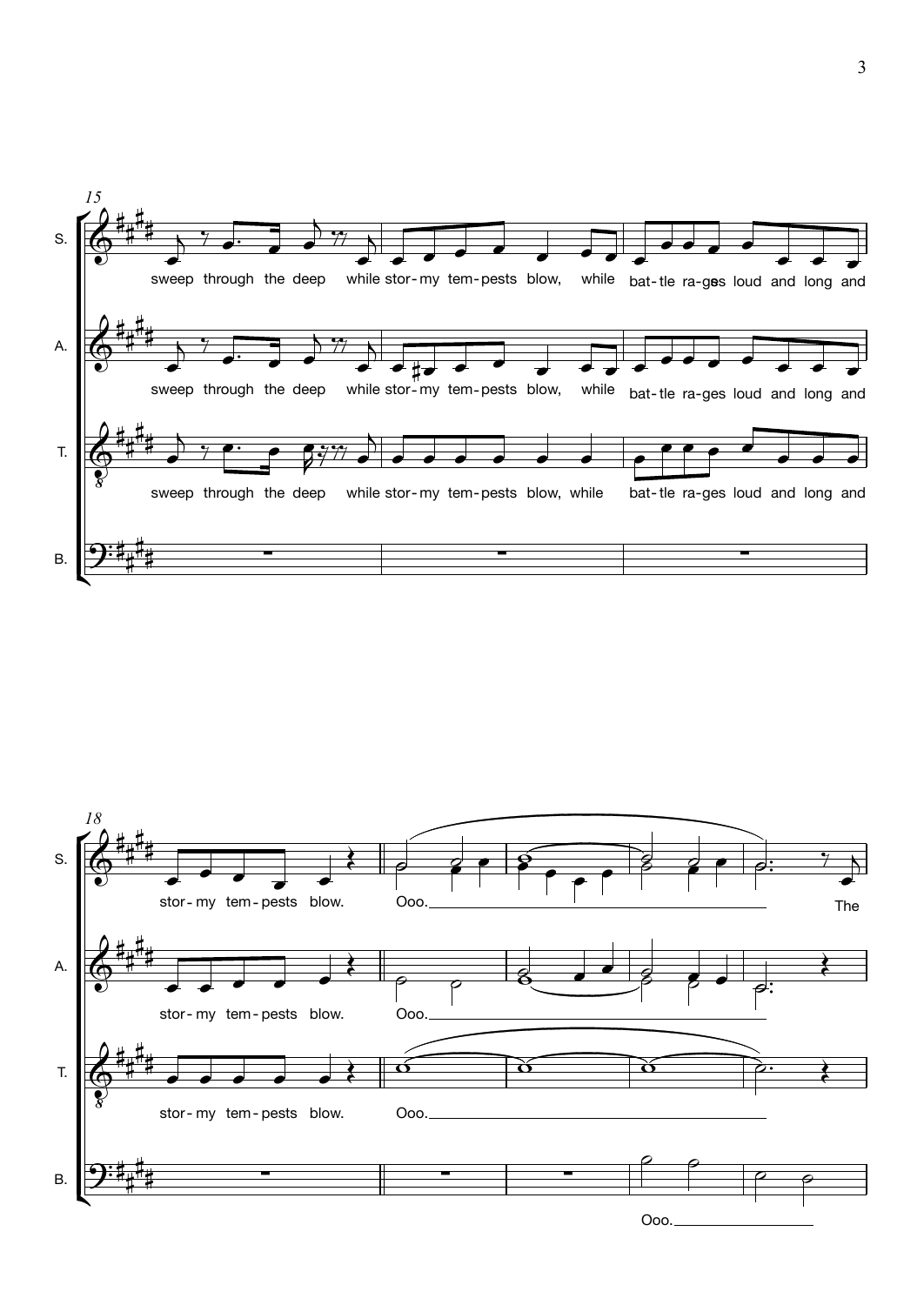

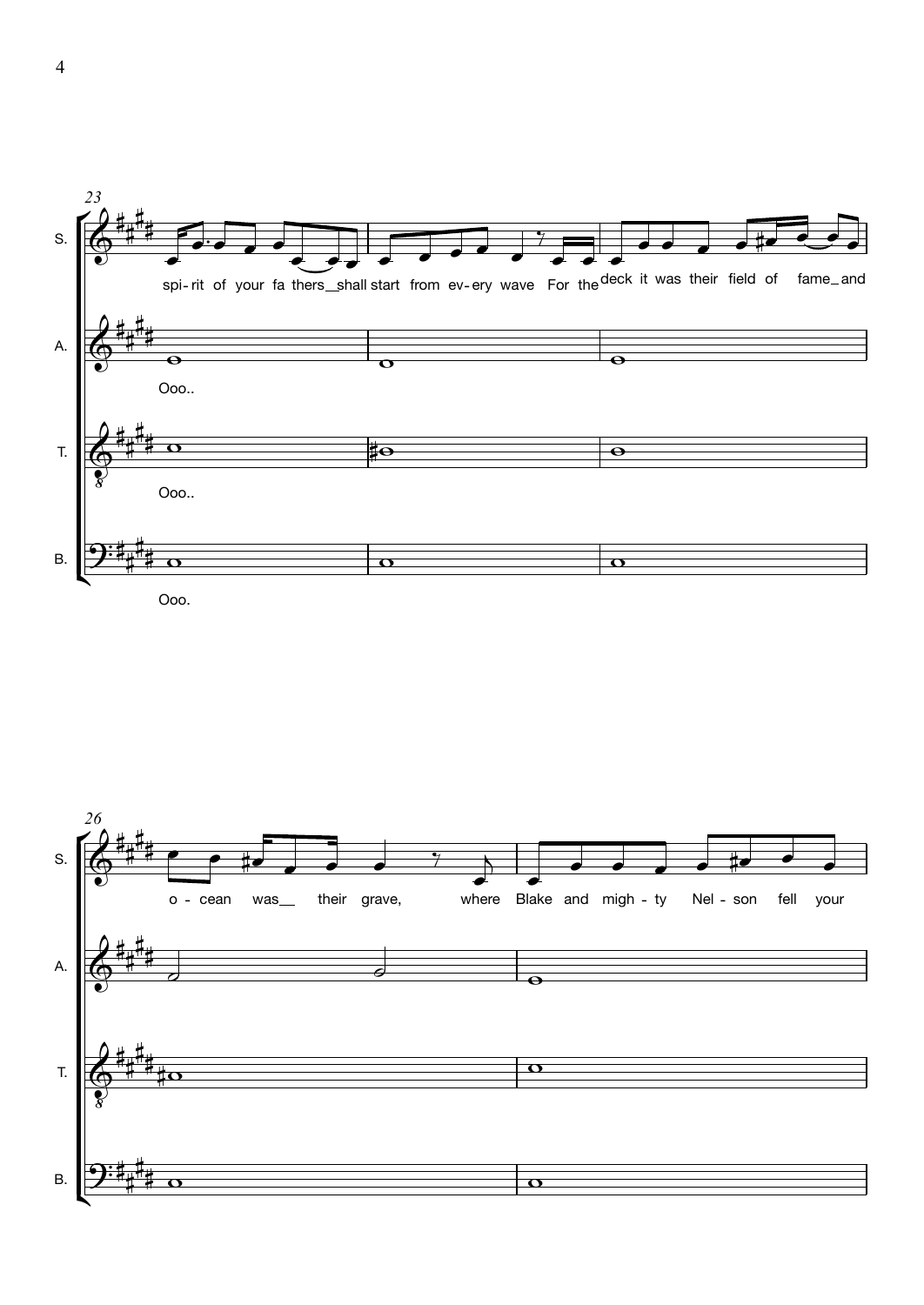

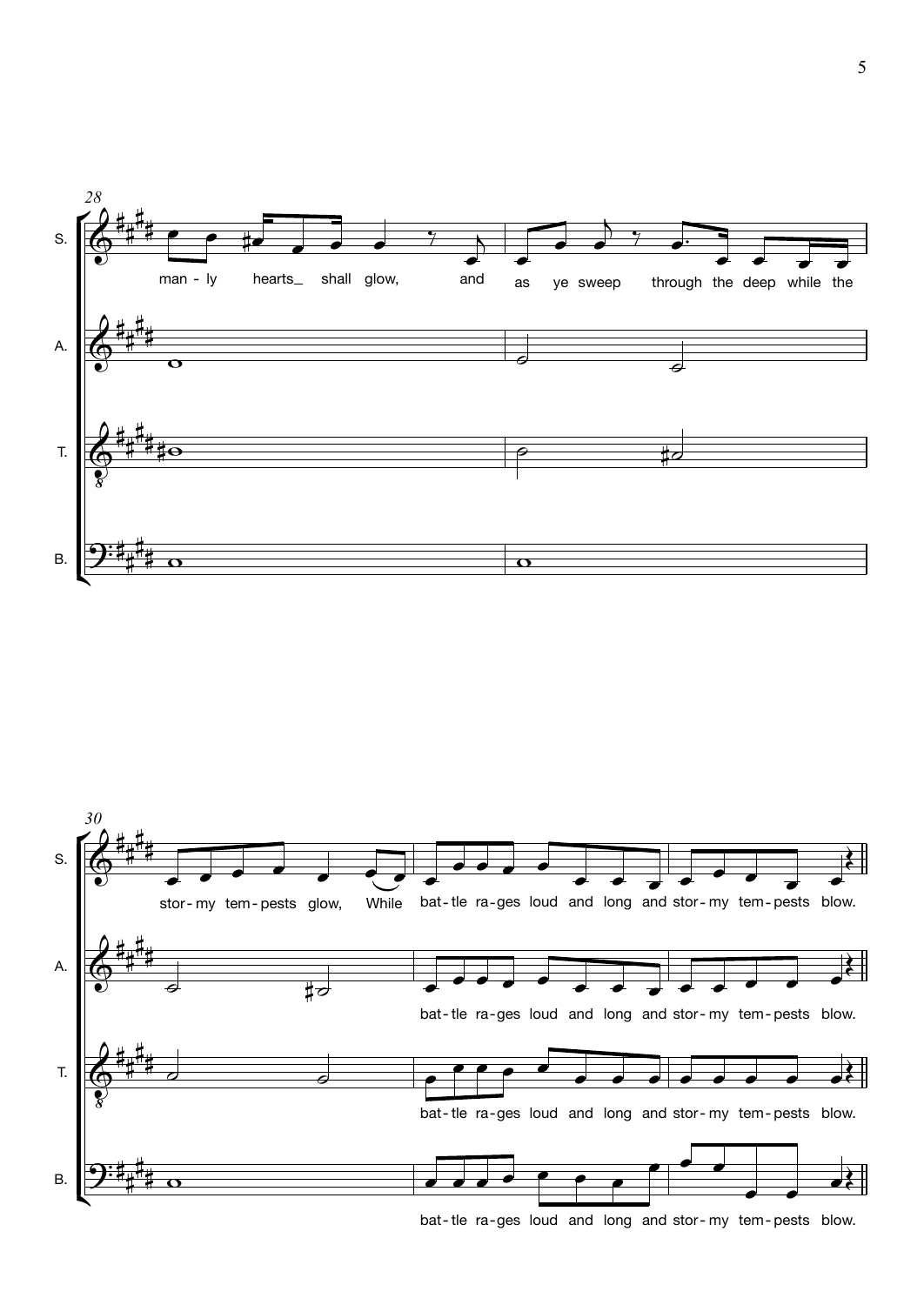



bat-tle ra-ges loud and long and stor-my tem-pests blow.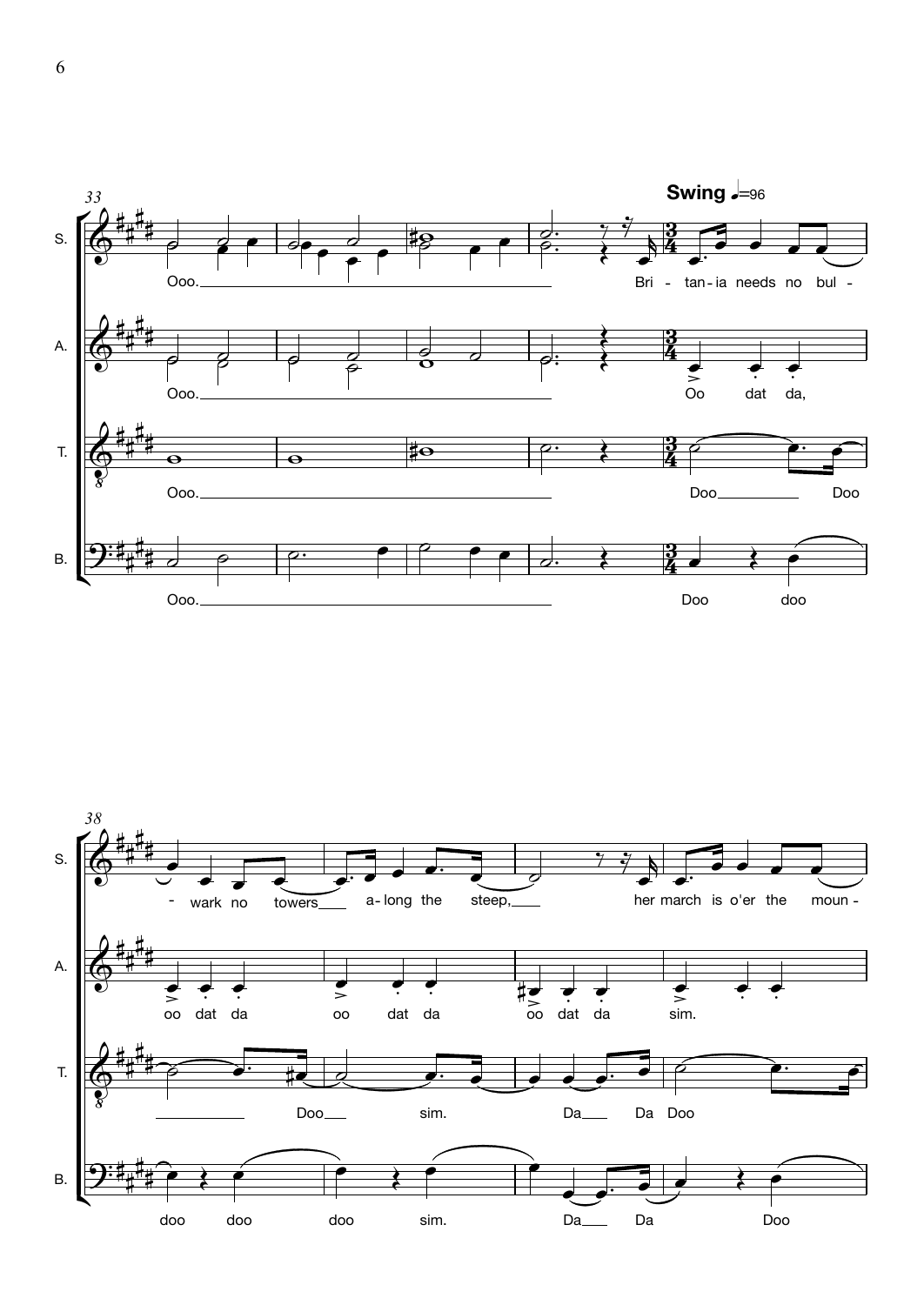

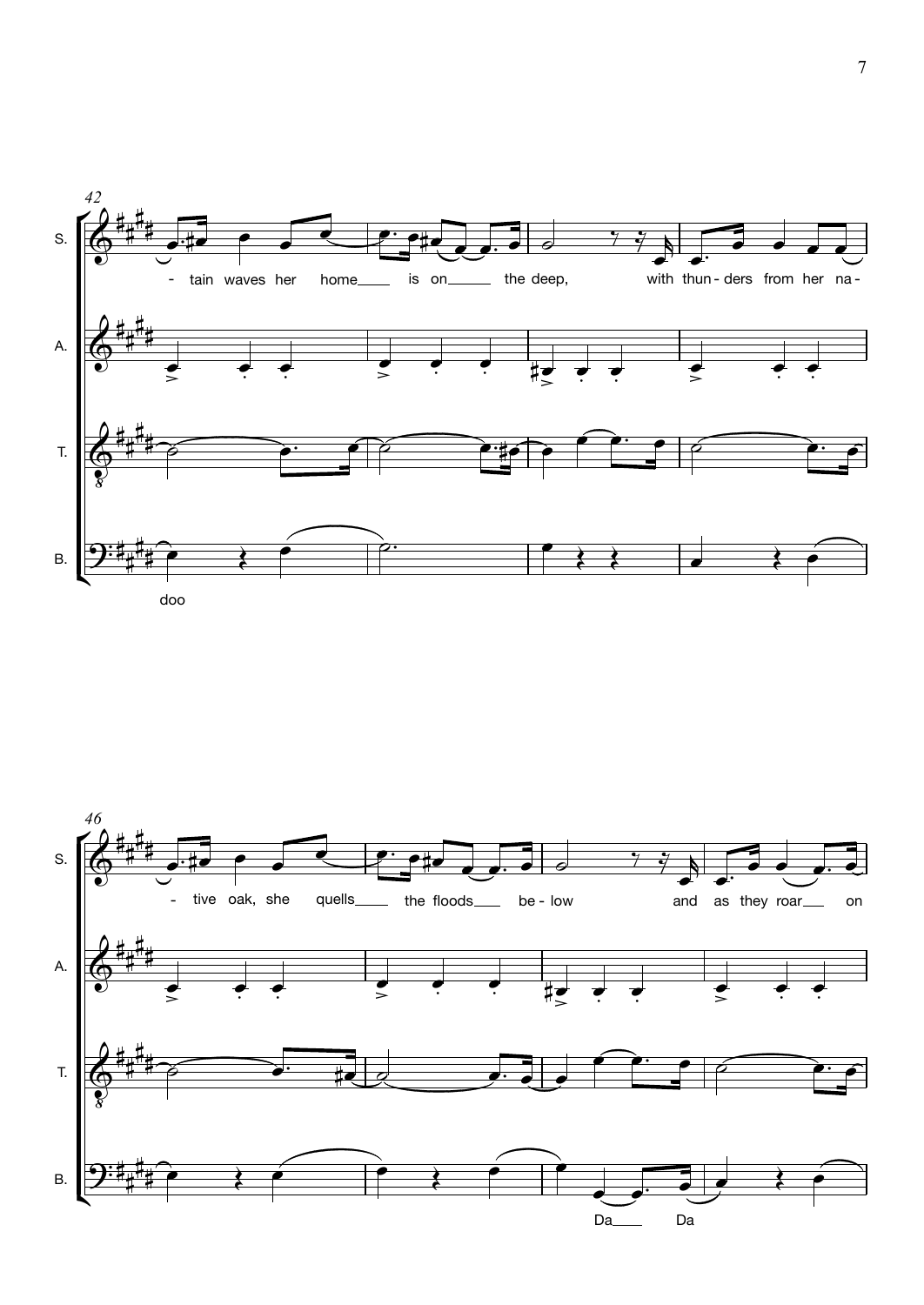

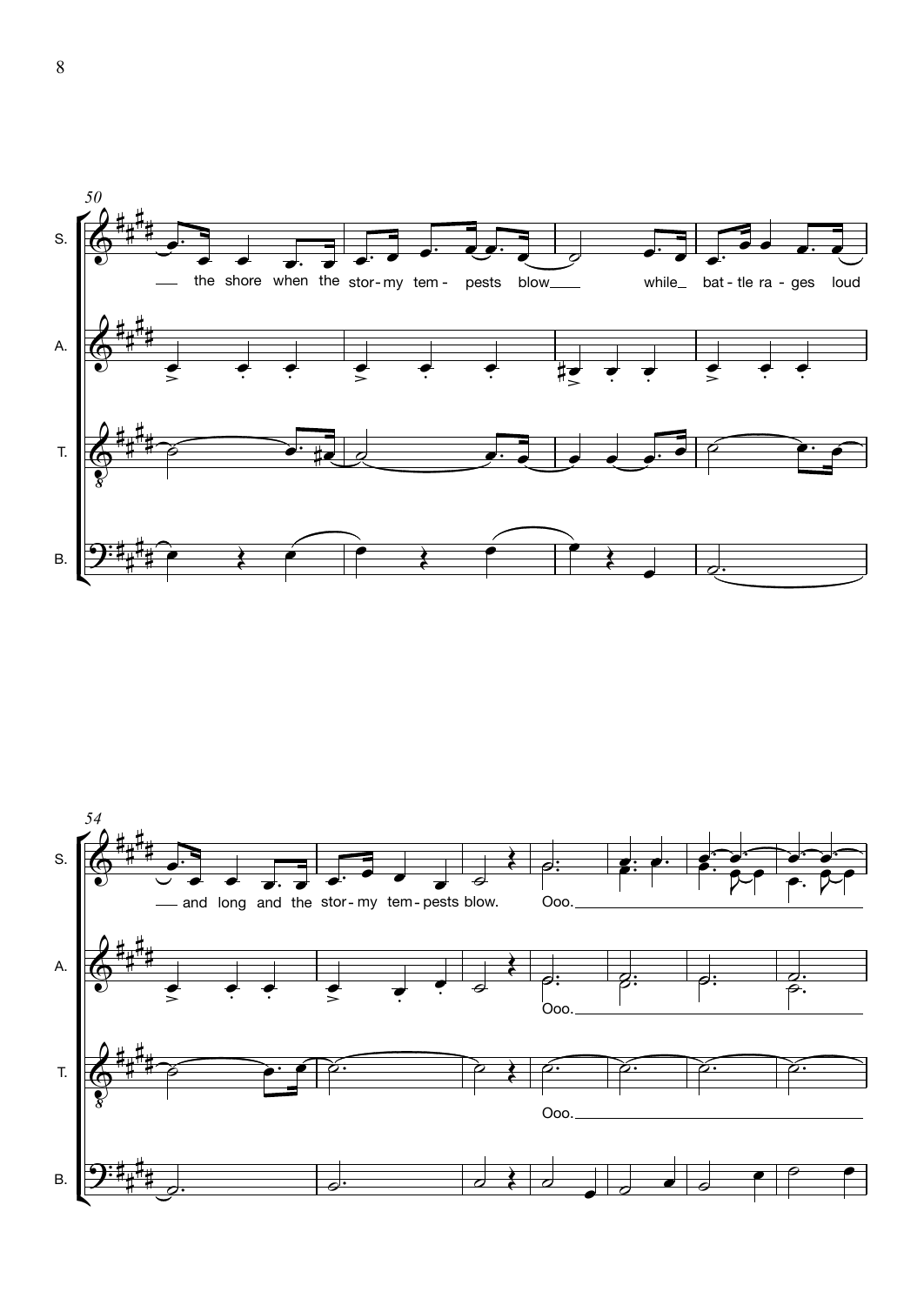

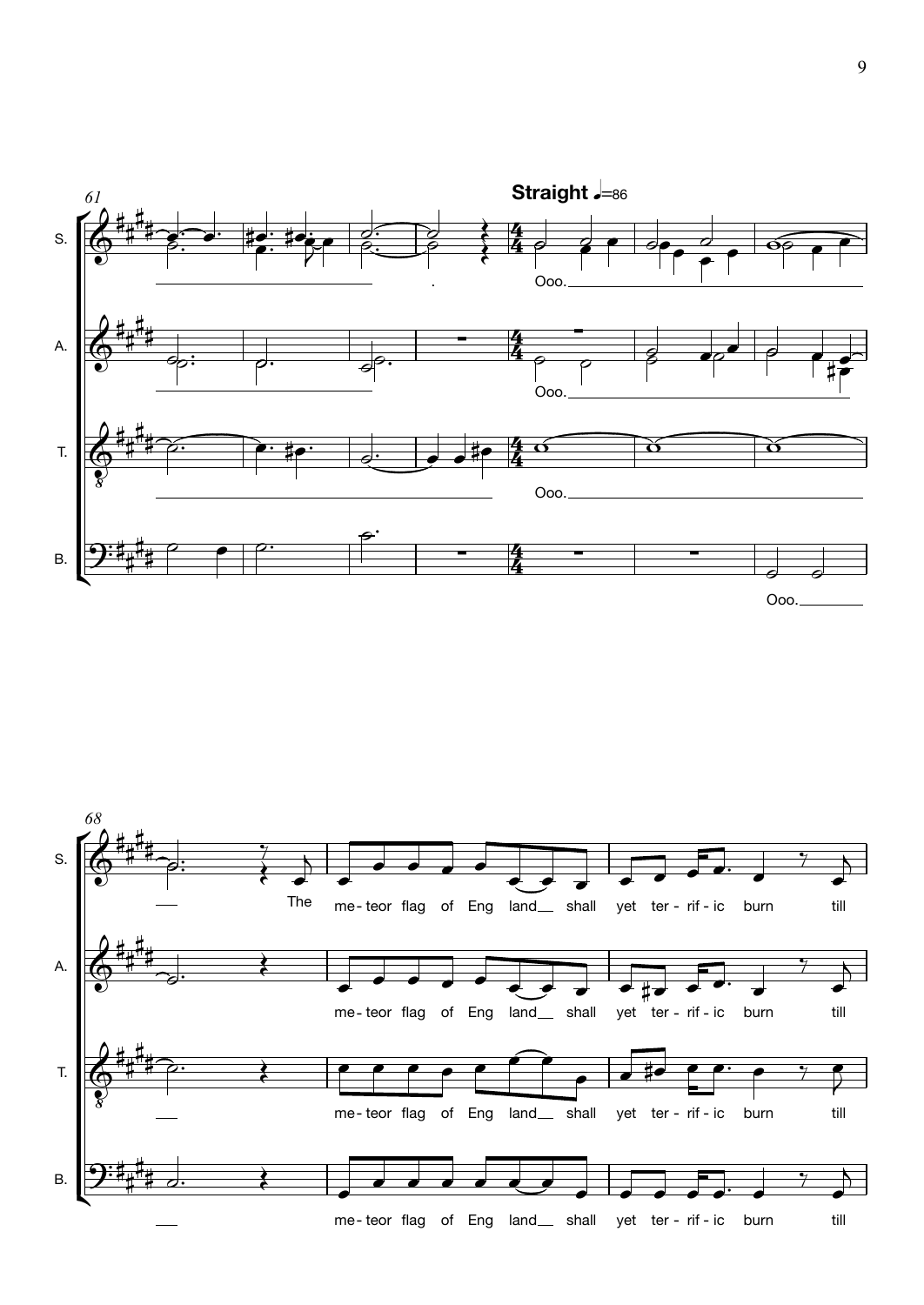

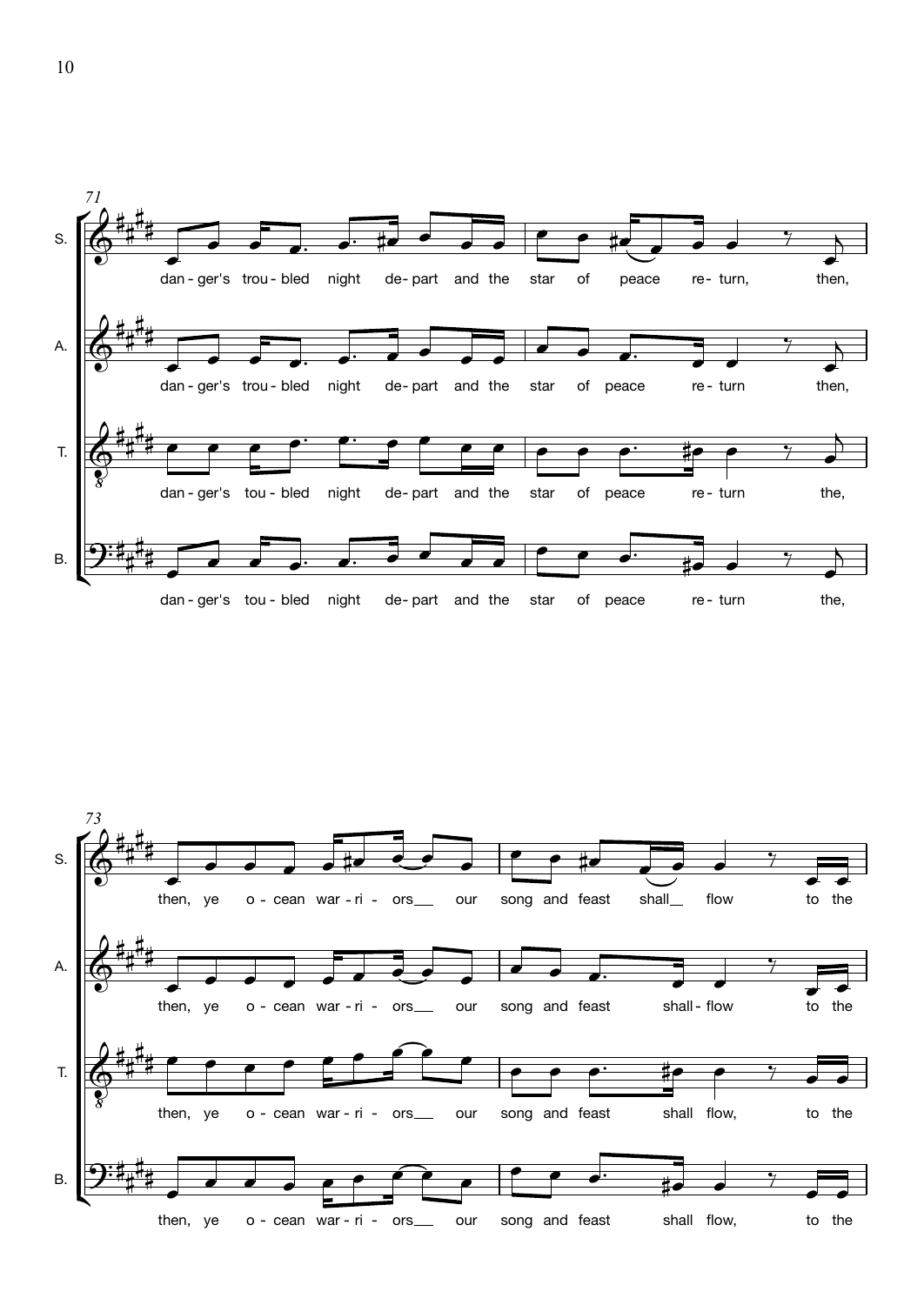

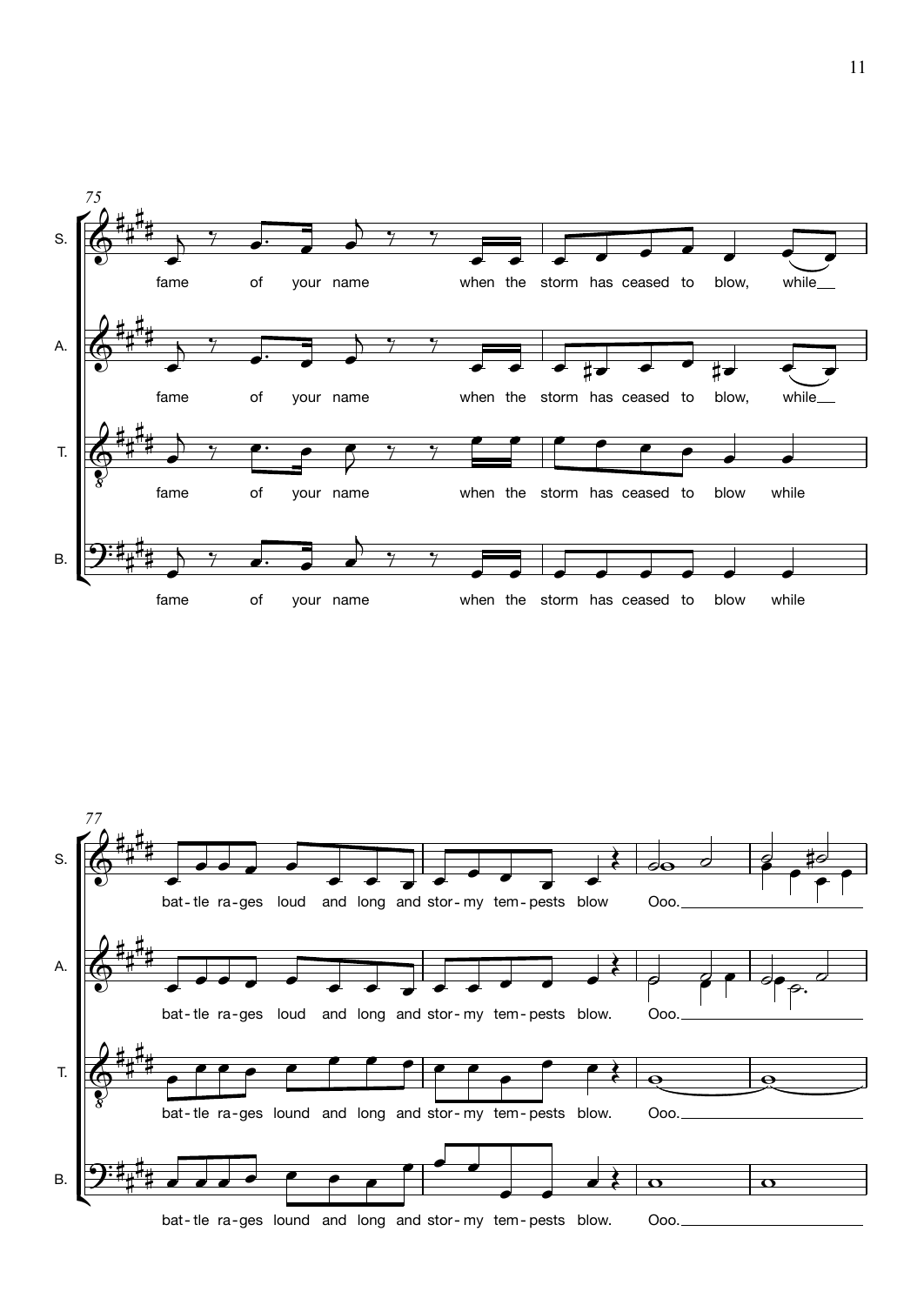